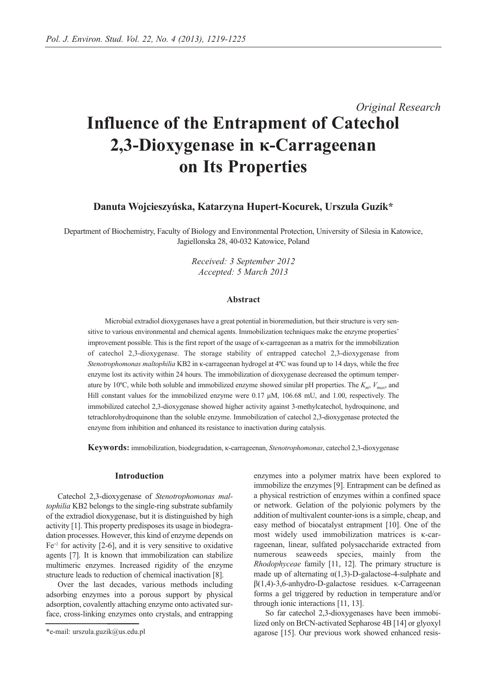# *Original Research* **Influence of the Entrapment of Catechol 2,3-Dioxygenase in κ-Carrageenan on Its Properties**

# **Danuta Wojcieszyńska, Katarzyna Hupert-Kocurek, Urszula Guzik\***

Department of Biochemistry, Faculty of Biology and Environmental Protection, University of Silesia in Katowice, Jagiellonska 28, 40-032 Katowice, Poland

> *Received: 3 September 2012 Accepted: 5 March 2013*

# **Abstract**

Microbial extradiol dioxygenases have a great potential in bioremediation, but their structure is very sensitive to various environmental and chemical agents. Immobilization techniques make the enzyme properties' improvement possible. This is the first report of the usage of κ-carrageenan as a matrix for the immobilization of catechol 2,3-dioxygenase. The storage stability of entrapped catechol 2,3-dioxygenase from *Stenotrophomonas maltophilia* KB2 in κ-carrageenan hydrogel at 4ºC was found up to 14 days, while the free enzyme lost its activity within 24 hours. The immobilization of dioxygenase decreased the optimum temperature by 10ºC, while both soluble and immobilized enzyme showed similar pH properties. The *Km*, *Vmax*, and Hill constant values for the immobilized enzyme were 0.17 μM, 106.68 mU, and 1.00, respectively. The immobilized catechol 2,3-dioxygenase showed higher activity against 3-methylcatechol, hydroquinone, and tetrachlorohydroquinone than the soluble enzyme. Immobilization of catechol 2,3-dioxygenase protected the enzyme from inhibition and enhanced its resistance to inactivation during catalysis.

**Keywords:** immobilization, biodegradation, κ-carrageenan, *Stenotrophomonas*, catechol 2,3-dioxygenase

## **Introduction**

Catechol 2,3-dioxygenase of *Stenotrophomonas maltophilia* KB2 belongs to the single-ring substrate subfamily of the extradiol dioxygenase, but it is distinguished by high activity [1]. This property predisposes its usage in biodegradation processes. However, this kind of enzyme depends on  $Fe^{+2}$  for activity [2-6], and it is very sensitive to oxidative agents [7]. It is known that immobilization can stabilize multimeric enzymes. Increased rigidity of the enzyme structure leads to reduction of chemical inactivation [8].

Over the last decades, various methods including adsorbing enzymes into a porous support by physical adsorption, covalently attaching enzyme onto activated surface, cross-linking enzymes onto crystals, and entrapping enzymes into a polymer matrix have been explored to immobilize the enzymes [9]. Entrapment can be defined as a physical restriction of enzymes within a confined space or network. Gelation of the polyionic polymers by the addition of multivalent counter-ions is a simple, cheap, and easy method of biocatalyst entrapment [10]. One of the most widely used immobilization matrices is κ-carrageenan, linear, sulfated polysaccharide extracted from numerous seaweeds species, mainly from the *Rhodophyceae* family [11, 12]. The primary structure is made up of alternating  $\alpha(1,3)$ -D-galactose-4-sulphate and β(1,4)-3,6-anhydro-D-galactose residues. κ-Carrageenan forms a gel triggered by reduction in temperature and/or through ionic interactions [11, 13].

So far catechol 2,3-dioxygenases have been immobilized only on BrCN-activated Sepharose 4B [14] or glyoxyl agarose [15]. Our previous work showed enhanced resis-

<sup>\*</sup>e-mail: urszula.guzik@us.edu.pl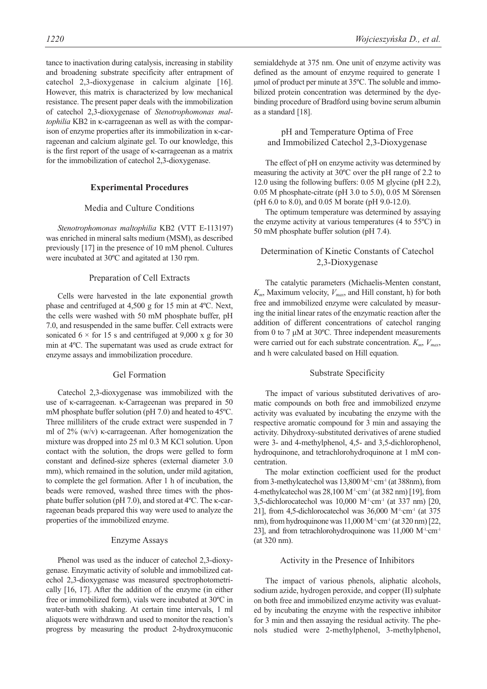tance to inactivation during catalysis, increasing in stability and broadening substrate specificity after entrapment of catechol 2,3-dioxygenase in calcium alginate [16]. However, this matrix is characterized by low mechanical resistance. The present paper deals with the immobilization of catechol 2,3-dioxygenase of *Stenotrophomonas maltophilia* KB2 in κ-carrageenan as well as with the comparison of enzyme properties after its immobilization in κ-carrageenan and calcium alginate gel. To our knowledge, this is the first report of the usage of κ-carrageenan as a matrix for the immobilization of catechol 2,3-dioxygenase.

# **Experimental Procedures**

#### Media and Culture Conditions

*Stenotrophomonas maltophilia* KB2 (VTT E-113197) was enriched in mineral salts medium (MSM), as described previously [17] in the presence of 10 mM phenol. Cultures were incubated at 30ºC and agitated at 130 rpm.

#### Preparation of Cell Extracts

Cells were harvested in the late exponential growth phase and centrifuged at 4,500 g for 15 min at 4ºC. Next, the cells were washed with 50 mM phosphate buffer, pH 7.0, and resuspended in the same buffer. Cell extracts were sonicated  $6 \times$  for 15 s and centrifuged at 9,000 x g for 30 min at 4ºC. The supernatant was used as crude extract for enzyme assays and immobilization procedure.

## Gel Formation

Catechol 2,3-dioxygenase was immobilized with the use of κ-carrageenan. κ-Carrageenan was prepared in 50 mM phosphate buffer solution (pH 7.0) and heated to 45ºC. Three milliliters of the crude extract were suspended in 7 ml of 2% (w/v) κ-carrageenan. After homogenization the mixture was dropped into 25 ml 0.3 M KCl solution. Upon contact with the solution, the drops were gelled to form constant and defined-size spheres (external diameter 3.0 mm), which remained in the solution, under mild agitation, to complete the gel formation. After 1 h of incubation, the beads were removed, washed three times with the phosphate buffer solution (pH 7.0), and stored at 4ºC. The κ-carrageenan beads prepared this way were used to analyze the properties of the immobilized enzyme.

# Enzyme Assays

Phenol was used as the inducer of catechol 2,3-dioxygenase. Enzymatic activity of soluble and immobilized catechol 2,3-dioxygenase was measured spectrophotometrically [16, 17]. After the addition of the enzyme (in either free or immobilized form), vials were incubated at 30ºC in water-bath with shaking. At certain time intervals, 1 ml aliquots were withdrawn and used to monitor the reaction's progress by measuring the product 2-hydroxymuconic semialdehyde at 375 nm. One unit of enzyme activity was defined as the amount of enzyme required to generate 1 μmol of product per minute at 35ºC. The soluble and immobilized protein concentration was determined by the dyebinding procedure of Bradford using bovine serum albumin as a standard [18].

# pH and Temperature Optima of Free and Immobilized Catechol 2,3-Dioxygenase

The effect of pH on enzyme activity was determined by measuring the activity at 30ºC over the pH range of 2.2 to 12.0 using the following buffers: 0.05 M glycine (pH 2.2), 0.05 M phosphate-citrate (pH 3.0 to 5.0), 0.05 M Sörensen (pH 6.0 to 8.0), and 0.05 M borate (pH 9.0-12.0).

The optimum temperature was determined by assaying the enzyme activity at various temperatures (4 to 55ºC) in 50 mM phosphate buffer solution (pH 7.4).

# Determination of Kinetic Constants of Catechol 2,3-Dioxygenase

The catalytic parameters (Michaelis-Menten constant,  $K_m$ , Maximum velocity,  $V_{max}$ , and Hill constant, h) for both free and immobilized enzyme were calculated by measuring the initial linear rates of the enzymatic reaction after the addition of different concentrations of catechol ranging from 0 to 7 μM at 30ºC. Three independent measurements were carried out for each substrate concentration.  $K_m$ ,  $V_{max}$ , and h were calculated based on Hill equation.

#### Substrate Specificity

The impact of various substituted derivatives of aromatic compounds on both free and immobilized enzyme activity was evaluated by incubating the enzyme with the respective aromatic compound for 3 min and assaying the activity. Dihydroxy-substituted derivatives of arene studied were 3- and 4-methylphenol, 4,5- and 3,5-dichlorophenol, hydroquinone, and tetrachlorohydroquinone at 1 mM concentration.

The molar extinction coefficient used for the product from 3-methylcatechol was  $13,800 \,\mathrm{M}$ <sup>1</sup>·cm<sup>-1</sup> (at 388nm), from 4-methylcatechol was  $28,100$  M<sup>-1</sup>·cm<sup>-1</sup> (at  $382$  nm) [19], from 3,5-dichlorocatechol was 10,000 M-1·cm-1 (at 337 nm) [20, 21], from 4,5-dichlorocatechol was  $36,000$  M<sup>-1</sup>·cm<sup>-1</sup> (at  $375$ nm), from hydroquinone was 11,000 M<sup>-1</sup>·cm<sup>-1</sup> (at 320 nm) [22, 23], and from tetrachlorohydroquinone was  $11,000 \ \text{M}^{-1} \cdot \text{cm}^{-1}$ (at 320 nm).

# Activity in the Presence of Inhibitors

The impact of various phenols, aliphatic alcohols, sodium azide, hydrogen peroxide, and copper (II) sulphate on both free and immobilized enzyme activity was evaluated by incubating the enzyme with the respective inhibitor for 3 min and then assaying the residual activity. The phenols studied were 2-methylphenol, 3-methylphenol,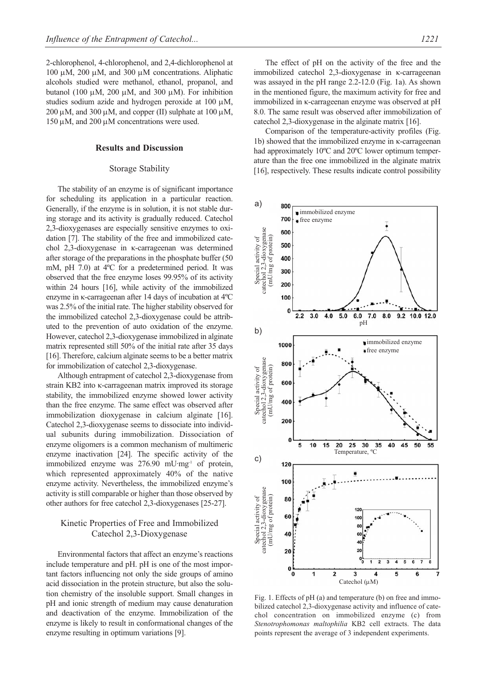2-chlorophenol, 4-chlorophenol, and 2,4-dichlorophenol at 100 μM, 200 μM, and 300 μM concentrations. Aliphatic alcohols studied were methanol, ethanol, propanol, and butanol (100 μM, 200 μM, and 300 μM). For inhibition studies sodium azide and hydrogen peroxide at 100 μM,  $200 \mu$ M, and  $300 \mu$ M, and copper (II) sulphate at  $100 \mu$ M, 150 μM, and 200 μM concentrations were used.

# **Results and Discussion**

## Storage Stability

The stability of an enzyme is of significant importance for scheduling its application in a particular reaction. Generally, if the enzyme is in solution, it is not stable during storage and its activity is gradually reduced. Catechol 2,3-dioxygenases are especially sensitive enzymes to oxidation [7]. The stability of the free and immobilized catechol 2,3-dioxygenase in κ-carrageenan was determined after storage of the preparations in the phosphate buffer (50 mM, pH 7.0) at 4ºC for a predetermined period. It was observed that the free enzyme loses 99.95% of its activity within 24 hours [16], while activity of the immobilized enzyme in κ-carrageenan after 14 days of incubation at 4ºC was 2.5% of the initial rate. The higher stability observed for the immobilized catechol 2,3-dioxygenase could be attributed to the prevention of auto oxidation of the enzyme. However, catechol 2,3-dioxygenase immobilized in alginate matrix represented still 50% of the initial rate after 35 days [16]. Therefore, calcium alginate seems to be a better matrix for immobilization of catechol 2,3-dioxygenase.

Although entrapment of catechol 2,3-dioxygenase from strain KB2 into κ-carrageenan matrix improved its storage stability, the immobilized enzyme showed lower activity than the free enzyme. The same effect was observed after immobilization dioxygenase in calcium alginate [16]. Catechol 2,3-dioxygenase seems to dissociate into individual subunits during immobilization. Dissociation of enzyme oligomers is a common mechanism of multimeric enzyme inactivation [24]. The specific activity of the immobilized enzyme was 276.90 mU·mg<sup>-1</sup> of protein, which represented approximately 40% of the native enzyme activity. Nevertheless, the immobilized enzyme's activity is still comparable or higher than those observed by other authors for free catechol 2,3-dioxygenases [25-27].

# Kinetic Properties of Free and Immobilized Catechol 2,3-Dioxygenase

Environmental factors that affect an enzyme's reactions include temperature and pH. pH is one of the most important factors influencing not only the side groups of amino acid dissociation in the protein structure, but also the solution chemistry of the insoluble support. Small changes in pH and ionic strength of medium may cause denaturation and deactivation of the enzyme. Immobilization of the enzyme is likely to result in conformational changes of the enzyme resulting in optimum variations [9].

The effect of pH on the activity of the free and the immobilized catechol 2,3-dioxygenase in κ-carrageenan was assayed in the pH range 2.2-12.0 (Fig. 1a). As shown in the mentioned figure, the maximum activity for free and immobilized in κ-carrageenan enzyme was observed at pH 8.0. The same result was observed after immobilization of catechol 2,3-dioxygenase in the alginate matrix [16].

Comparison of the temperature-activity profiles (Fig. 1b) showed that the immobilized enzyme in κ-carrageenan had approximately 10ºC and 20ºC lower optimum temperature than the free one immobilized in the alginate matrix [16], respectively. These results indicate control possibility



Fig. 1. Effects of pH (a) and temperature (b) on free and immobilized catechol 2,3-dioxygenase activity and influence of catechol concentration on immobilized enzyme (c) from *Stenotrophomonas maltophilia* KB2 cell extracts. The data points represent the average of 3 independent experiments.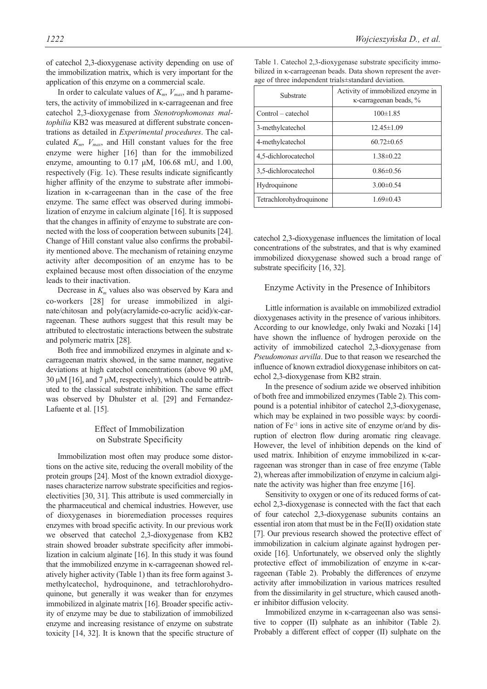of catechol 2,3-dioxygenase activity depending on use of the immobilization matrix, which is very important for the application of this enzyme on a commercial scale.

In order to calculate values of  $K_m$ ,  $V_{max}$ , and h parameters, the activity of immobilized in κ-carrageenan and free catechol 2,3-dioxygenase from *Stenotrophomonas maltophilia* KB2 was measured at different substrate concentrations as detailed in *Experimental procedures*. The calculated  $K_m$ ,  $V_{max}$ , and Hill constant values for the free enzyme were higher [16] than for the immobilized enzyme, amounting to  $0.17 \mu M$ ,  $106.68 \mu J$ , and  $1.00$ , respectively (Fig. 1c). These results indicate significantly higher affinity of the enzyme to substrate after immobilization in κ-carrageenan than in the case of the free enzyme. The same effect was observed during immobilization of enzyme in calcium alginate [16]. It is supposed that the changes in affinity of enzyme to substrate are connected with the loss of cooperation between subunits [24]. Change of Hill constant value also confirms the probability mentioned above. The mechanism of retaining enzyme activity after decomposition of an enzyme has to be explained because most often dissociation of the enzyme leads to their inactivation.

Decrease in  $K<sub>m</sub>$  values also was observed by Kara and co-workers [28] for urease immobilized in alginate/chitosan and poly(acrylamide-co-acrylic acid)/κ-carrageenan. These authors suggest that this result may be attributed to electrostatic interactions between the substrate and polymeric matrix [28].

Both free and immobilized enzymes in alginate and κcarrageenan matrix showed, in the same manner, negative deviations at high catechol concentrations (above 90 μM, 30 μM [16], and 7 μM, respectively), which could be attributed to the classical substrate inhibition. The same effect was observed by Dhulster et al. [29] and Fernandez-Lafuente et al. [15].

# Effect of Immobilization on Substrate Specificity

Immobilization most often may produce some distortions on the active site, reducing the overall mobility of the protein groups [24]. Most of the known extradiol dioxygenases characterize narrow substrate specificities and regioselectivities [30, 31]. This attribute is used commercially in the pharmaceutical and chemical industries. However, use of dioxygenases in bioremediation processes requires enzymes with broad specific activity. In our previous work we observed that catechol 2,3-dioxygenase from KB2 strain showed broader substrate specificity after immobilization in calcium alginate [16]. In this study it was found that the immobilized enzyme in κ-carrageenan showed relatively higher activity (Table 1) than its free form against 3 methylcatechol, hydroquinone, and tetrachlorohydroquinone, but generally it was weaker than for enzymes immobilized in alginate matrix [16]. Broader specific activity of enzyme may be due to stabilization of immobilized enzyme and increasing resistance of enzyme on substrate toxicity [14, 32]. It is known that the specific structure of

*1222 Wojcieszyńska D., et al.* 

| Substrate               | Activity of immobilized enzyme in<br>$\kappa$ -carrageenan beads, $\%$ |
|-------------------------|------------------------------------------------------------------------|
| Control – catechol      | $100 \pm 1.85$                                                         |
| 3-methylcatechol        | $12.45 \pm 1.09$                                                       |
| 4-methylcatechol        | $60.72 \pm 0.65$                                                       |
| 4,5-dichlorocatechol    | $1.38\pm0.22$                                                          |
| 3,5-dichlorocatechol    | $0.86\pm0.56$                                                          |
| Hydroquinone            | $3.00\pm0.54$                                                          |
| Tetrachlorohydroquinone | $1.69 \pm 0.43$                                                        |

Table 1. Catechol 2,3-dioxygenase substrate specificity immobilized in κ-carrageenan beads. Data shown represent the average of three independent trials±standard deviation.

catechol 2,3-dioxygenase influences the limitation of local concentrations of the substrates, and that is why examined immobilized dioxygenase showed such a broad range of substrate specificity [16, 32].

## Enzyme Activity in the Presence of Inhibitors

Little information is available on immobilized extradiol dioxygenases activity in the presence of various inhibitors. According to our knowledge, only Iwaki and Nozaki [14] have shown the influence of hydrogen peroxide on the activity of immobilized catechol 2,3-dioxygenase from *Pseudomonas arvilla*. Due to that reason we researched the influence of known extradiol dioxygenase inhibitors on catechol 2,3-dioxygenase from KB2 strain.

In the presence of sodium azide we observed inhibition of both free and immobilized enzymes (Table 2). This compound is a potential inhibitor of catechol 2,3-dioxygenase, which may be explained in two possible ways: by coordination of  $Fe^{+2}$  ions in active site of enzyme or/and by disruption of electron flow during aromatic ring cleavage. However, the level of inhibition depends on the kind of used matrix. Inhibition of enzyme immobilized in κ-carrageenan was stronger than in case of free enzyme (Table 2), whereas after immobilization of enzyme in calcium alginate the activity was higher than free enzyme [16].

Sensitivity to oxygen or one of its reduced forms of catechol 2,3-dioxygenase is connected with the fact that each of four catechol 2,3-dioxygenase subunits contains an essential iron atom that must be in the Fe(II) oxidation state [7]. Our previous research showed the protective effect of immobilization in calcium alginate against hydrogen peroxide [16]. Unfortunately, we observed only the slightly protective effect of immobilization of enzyme in κ-carrageenan (Table 2). Probably the differences of enzyme activity after immobilization in various matrices resulted from the dissimilarity in gel structure, which caused another inhibitor diffusion velocity.

Immobilized enzyme in κ-carrageenan also was sensitive to copper (II) sulphate as an inhibitor (Table 2). Probably a different effect of copper (II) sulphate on the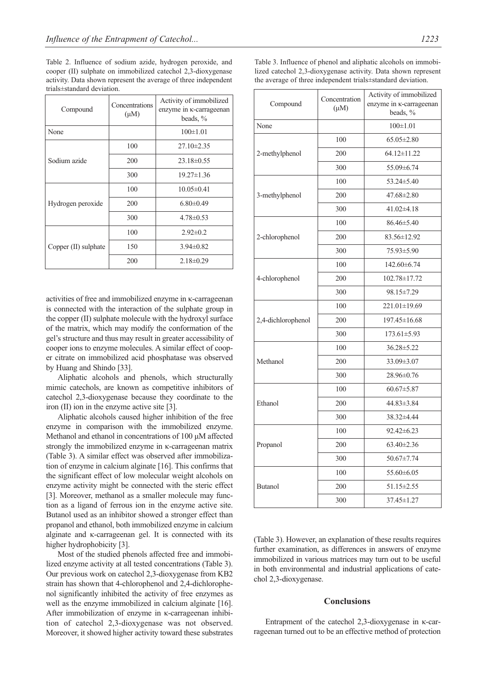Table 2. Influence of sodium azide, hydrogen peroxide, and cooper (II) sulphate on immobilized catechol 2,3-dioxygenase activity. Data shown represent the average of three independent trials±standard deviation.

| Compound             | Concentrations<br>$(\mu M)$ | Activity of immobilized<br>enzyme in <i>k</i> -carrageenan<br>beads, $\%$ |
|----------------------|-----------------------------|---------------------------------------------------------------------------|
| None                 |                             | $100\pm1.01$                                                              |
| Sodium azide         | 100                         | $27.10 \pm 2.35$                                                          |
|                      | 200                         | $23.18 \pm 0.55$                                                          |
|                      | 300                         | $19.27 \pm 1.36$                                                          |
| Hydrogen peroxide    | 100                         | $10.05 \pm 0.41$                                                          |
|                      | 200                         | $6.80\pm0.49$                                                             |
|                      | 300                         | $4.78 \pm 0.53$                                                           |
| Copper (II) sulphate | 100                         | $2.92 \pm 0.2$                                                            |
|                      | 150                         | $3.94 \pm 0.82$                                                           |
|                      | 200                         | $2.18\pm0.29$                                                             |

activities of free and immobilized enzyme in κ-carrageenan is connected with the interaction of the sulphate group in the copper (II) sulphate molecule with the hydroxyl surface of the matrix, which may modify the conformation of the gel's structure and thus may result in greater accessibility of cooper ions to enzyme molecules. A similar effect of cooper citrate on immobilized acid phosphatase was observed by Huang and Shindo [33].

Aliphatic alcohols and phenols, which structurally mimic catechols, are known as competitive inhibitors of catechol 2,3-dioxygenase because they coordinate to the iron (II) ion in the enzyme active site [3].

Aliphatic alcohols caused higher inhibition of the free enzyme in comparison with the immobilized enzyme. Methanol and ethanol in concentrations of 100 μM affected strongly the immobilized enzyme in κ-carrageenan matrix (Table 3). A similar effect was observed after immobilization of enzyme in calcium alginate [16]. This confirms that the significant effect of low molecular weight alcohols on enzyme activity might be connected with the steric effect [3]. Moreover, methanol as a smaller molecule may function as a ligand of ferrous ion in the enzyme active site. Butanol used as an inhibitor showed a stronger effect than propanol and ethanol, both immobilized enzyme in calcium alginate and κ-carrageenan gel. It is connected with its higher hydrophobicity [3].

Most of the studied phenols affected free and immobilized enzyme activity at all tested concentrations (Table 3). Our previous work on catechol 2,3-dioxygenase from KB2 strain has shown that 4-chlorophenol and 2,4-dichlorophenol significantly inhibited the activity of free enzymes as well as the enzyme immobilized in calcium alginate [16]. After immobilization of enzyme in κ-carrageenan inhibition of catechol 2,3-dioxygenase was not observed. Moreover, it showed higher activity toward these substrates

| Compound           | Concentration<br>$(\mu M)$ | Activity of immobilized<br>enzyme in <i>K</i> -carrageenan<br>beads, % |
|--------------------|----------------------------|------------------------------------------------------------------------|
| None               |                            | $100 \pm 1.01$                                                         |
| 2-methylphenol     | 100                        | $65.05 \pm 2.80$                                                       |
|                    | 200                        | 64.12±11.22                                                            |
|                    | 300                        | 55.09±6.74                                                             |
| 3-methylphenol     | 100                        | 53.24±5.40                                                             |
|                    | 200                        | $47.68 \pm 2.80$                                                       |
|                    | 300                        | $41.02\pm4.18$                                                         |
| 2-chlorophenol     | 100                        | 86.46±5.40                                                             |
|                    | 200                        | 83.56±12.92                                                            |
|                    | 300                        | 75.93±5.90                                                             |
| 4-chlorophenol     | 100                        | 142.60±6.74                                                            |
|                    | 200                        | 102.78±17.72                                                           |
|                    | 300                        | 98.15±7.29                                                             |
| 2,4-dichlorophenol | 100                        | 221.01±19.69                                                           |
|                    | 200                        | 197.45±16.68                                                           |
|                    | 300                        | $173.61 \pm 5.93$                                                      |
| Methanol           | 100                        | 36.28±5.22                                                             |
|                    | 200                        | 33.09±3.07                                                             |
|                    | 300                        | 28.96±0.76                                                             |
| Ethanol            | 100                        | $60.67 \pm 5.87$                                                       |
|                    | 200                        | 44.83±3.84                                                             |
|                    | 300                        | 38.32±4.44                                                             |
| Propanol           | 100                        | $92.42 \pm 6.23$                                                       |
|                    | 200                        | 63.40±2.36                                                             |
|                    | 300                        | $50.67 \pm 7.74$                                                       |
| <b>Butanol</b>     | 100                        | 55.60±6.05                                                             |
|                    | 200                        | $51.15 \pm 2.55$                                                       |
|                    | 300                        | $37.45 \pm 1.27$                                                       |

(Table 3). However, an explanation of these results requires further examination, as differences in answers of enzyme immobilized in various matrices may turn out to be useful in both environmental and industrial applications of catechol 2,3-dioxygenase.

# **Conclusions**

Entrapment of the catechol 2,3-dioxygenase in κ-carrageenan turned out to be an effective method of protection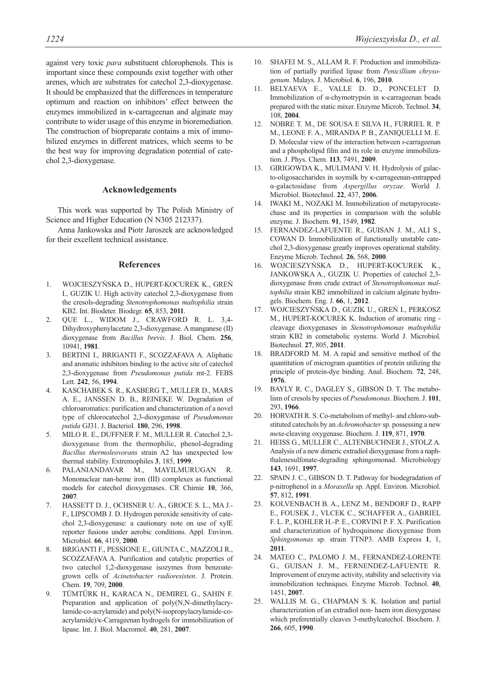against very toxic *para* substituent chlorophenols. This is important since these compounds exist together with other arenes, which are substrates for catechol 2,3-dioxygenase. It should be emphasized that the differences in temperature optimum and reaction on inhibitors' effect between the enzymes immobilized in κ-carrageenan and alginate may contribute to wider usage of this enzyme in bioremediation. The construction of biopreparate contains a mix of immobilized enzymes in different matrices, which seems to be the best way for improving degradation potential of catechol 2,3-dioxygenase.

#### **Acknowledgements**

This work was supported by The Polish Ministry of Science and Higher Education (N N305 212337).

Anna Jankowska and Piotr Jaroszek are acknowledged for their excellent technical assistance.

# **References**

- 1. WOJCIESZYŃSKA D., HUPERT-KOCUREK K., GREŃ I., GUZIK U. High activity catechol 2,3-dioxygenase from the cresols-degrading *Stenotrophomonas maltophilia* strain KB2. Int. Biodeter. Biodegr. **65**, 853, **2011**.
- 2. QUE L., WIDOM J., CRAWFORD R. L. 3,4- Dihydroxyphenylacetate 2,3-dioxygenase. A manganese (II) dioxygenase from *Bacillus brevis*. J. Biol. Chem. **256**, 10941, **1981**.
- 3. BERTINI I., BRIGANTI F., SCOZZAFAVA A. Aliphatic and aromatic inhibitors binding to the active site of catechol 2,3-dioxygenase from *Pseudomonas putida* mt-2. FEBS Lett. **242**, 56, **1994**.
- 4. KASCHABEK S. R., KASBERG T., MULLER D., MARS A. E., JANSSEN D. B., REINEKE W. Degradation of chloroaromatics: purification and characterization of a novel type of chlorocatechol 2,3-dioxygenase of *Pseudomonas putida* GJ31. J. Bacteriol. **180**, 296, **1998**.
- 5. MILO R. E., DUFFNER F. M., MULLER R. Catechol 2,3 dioxygenase from the thermophilic, phenol-degrading *Bacillus thermoleovorans* strain A2 has unexpected low thermal stability. Extremophiles **3**, 185, **1999**.
- 6. PALANIANDAVAR M., MAYILMURUGAN R. Mononuclear nan-heme iron (III) complexes as functional models for catechol dioxygenases. CR Chimie **10**, 366, **2007**.
- 7. HASSETT D. J., OCHSNER U. A., GROCE S. L., MA J.- F., LIPSCOMB J. D. Hydrogen peroxide sensitivity of catechol 2,3-dioxygenase: a cautionary note on use of xylE reporter fusions under aerobic conditions. Appl. Environ. Microbiol. **66**, 4119, **2000**.
- 8. BRIGANTI F., PESSIONE E., GIUNTA C., MAZZOLI R., SCOZZAFAVA A. Purification and catalytic properties of two catechol 1,2-dioxygenase isozymes from benzoategrown cells of *Acinetobacter radioresisten*. J. Protein. Chem. **19**, 709, **2000**.
- 9. TÜMTÜRK H., KARACA N., DEMIREL G., SAHIN F. Preparation and application of poly(N,N-dimethylacrylamide-co-acrylamide) and poly(N-isopropylacrylamide-coacrylamide)/κ-Carrageenan hydrogels for immobilization of lipase. Int. J. Biol. Macromol. **40**, 281, **2007**.
- 10. SHAFEI M. S., ALLAM R. F. Production and immobilization of partially purified lipase from *Penicillium chrysogenum*. Malays. J. Microbiol. **6**, 196, **2010**.
- 11. BELYAEVA E., VALLE D. D., PONCELET D. Immobilization of α-chymotrypsin in κ-carrageenan beads prepared with the static mixer. Enzyme Microb. Technol. **34**, 108, **2004**.
- 12. NOBRE T. M., DE SOUSA E SILVA H., FURRIEL R. P. M., LEONE F. A., MIRANDA P. B., ZANIQUELLI M. E. D. Molecular view of the interaction between ι-carrageenan and a phospholipid film and its role in enzyme immobilization. J. Phys. Chem. **113**, 7491, **2009**.
- 13. GIRIGOWDA K., MULIMANI V. H. Hydrolysis of galacto-oligosaccharides in soymilk by κ-carrageenan-entrapped α-galactosidase from *Aspergillus oryzae*. World J. Microbiol. Biotechnol. **22**, 437, **2006**.
- 14. IWAKI M., NOZAKI M. Immobilization of metapyrocatechase and its properties in comparison with the soluble enzyme. J. Biochem. **91**, 1549, **1982**.
- 15. FERNANDEZ-LAFUENTE R., GUISAN J. M., ALI S., COWAN D. Immobilization of functionally unstable catechol 2,3-dioxygenase greatly improves operational stability. Enzyme Microb. Technol. **26**, 568, **2000**.
- 16. WOJCIESZYŃSKA D., HUPERT-KOCUREK K., JANKOWSKA A., GUZIK U. Properties of catechol 2,3 dioxygenase from crude extract of *Stenotrophomonas maltophilia* strain KB2 immobilized in calcium alginate hydrogels. Biochem. Eng. J. **66**, 1, **2012**.
- 17. WOJCIESZYŃSKA D., GUZIK U., GREŃ I., PERKOSZ M., HUPERT-KOCUREK K. Induction of aromatic ring cleavage dioxygenases in *Stenotrophomonas maltophilia* strain KB2 in cometabolic systems. World J. Microbiol. Biotechnol. **27**, 805, **2011**.
- 18. BRADFORD M. M. A rapid and sensitive method of the quantitation of microgram quantities of protein utilizing the principle of protein-dye binding. Anal. Biochem. **72**, 248, **1976**.
- 19. BAYLY R. C., DAGLEY S., GIBSON D. T. The metabolism of cresols by species of *Pseudomonas*. Biochem. J. **101**, 293, **1966**.
- 20. HORVATH R. S. Co-metabolism of methyl- and chloro-substituted catechols by an *Achromobacter*sp. possessing a new *meta*-cleaving oxygenase. Biochem. J. **119**, 871, **1970**.
- 21. HEISS G., MULLER C., ALTENBUCHNER J., STOLZ A. Analysis of a new dimeric extradiol dioxygenase from a naphthalenesulfonate-degrading sphingomonad. Microbiology **143**, 1691, **1997**.
- 22. SPAIN J. C., GIBSON D. T. Pathway for biodegradation of p-nitrophenol in a *Moraxella* sp. Appl. Environ. Microbiol. **57**, 812, **1991**.
- 23. KOLVENBACH B. A., LENZ M., BENDORF D., RAPP E., FOUSEK J., VLCEK C., SCHAFFER A., GABRIEL F. L. P., KOHLER H.-P. E., CORVINI P. F. X. Purification and characterization of hydroquinone dioxygenase from *Sphingomonas* sp. strain TTNP3. AMB Express **1**, 1, **2011**.
- 24. MATEO C., PALOMO J. M., FERNANDEZ-LORENTE G., GUISAN J. M., FERNENDEZ-LAFUENTE R. Improvement of enzyme activity, stability and selectivity via immobilization techniques. Enzyme Microb. Technol. **40**, 1451, **2007**.
- WALLIS M. G., CHAPMAN S. K. Isolation and partial characterization of an extradiol non- haem iron dioxygenase which preferentially cleaves 3-methylcatechol. Biochem. J. **266**, 605, **1990**.